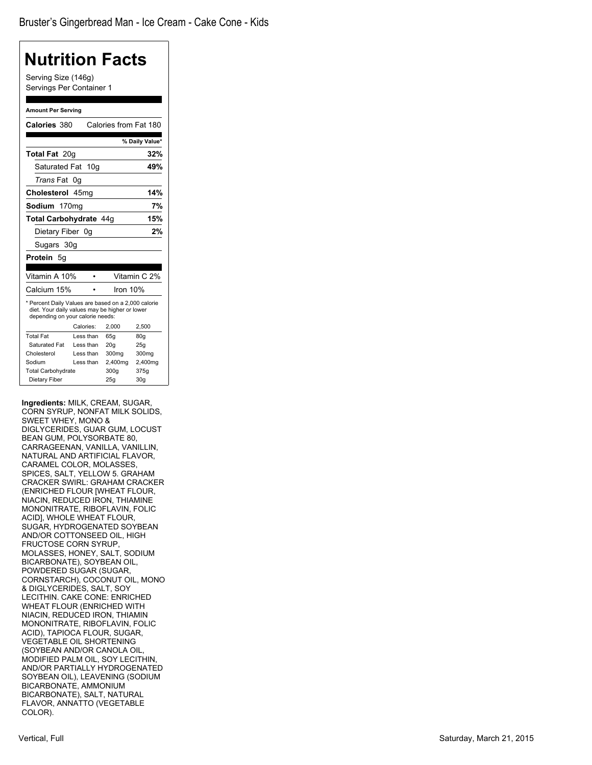| Nutrition Facts                                                                                                                           |                                      |
|-------------------------------------------------------------------------------------------------------------------------------------------|--------------------------------------|
| Serving Size (146g)<br>Servings Per Container 1                                                                                           |                                      |
|                                                                                                                                           |                                      |
| <b>Amount Per Serving</b>                                                                                                                 |                                      |
| Calories 380                                                                                                                              | Calories from Fat 180                |
|                                                                                                                                           | % Daily Value*                       |
| Total Fat 20g                                                                                                                             | 32%                                  |
| 10 <sub>g</sub><br>Saturated Fat                                                                                                          | 49%                                  |
| <i>Trans</i> Fat<br>0g                                                                                                                    |                                      |
| Cholesterol 45mg                                                                                                                          | 14%                                  |
| Sodium                                                                                                                                    | 7%                                   |
| 170 <sub>mg</sub>                                                                                                                         |                                      |
| Total Carbohydrate 44q                                                                                                                    | 15%                                  |
| Dietary Fiber 0g                                                                                                                          | 2%                                   |
| Sugars 30g                                                                                                                                |                                      |
| Protein 5q                                                                                                                                |                                      |
|                                                                                                                                           |                                      |
| Vitamin A 10%                                                                                                                             | Vitamin C 2%                         |
| Calcium 15%                                                                                                                               | Iron $10%$                           |
| * Percent Daily Values are based on a 2,000 calorie<br>diet. Your daily values may be higher or lower<br>depending on your calorie needs: |                                      |
| Calories:                                                                                                                                 | 2,500<br>2,000                       |
| <b>Total Fat</b><br>Less than                                                                                                             | 65q<br>80q                           |
| Saturated Fat<br>Less than<br>Cholesterol<br>Less than                                                                                    | 20q<br>25q                           |
| Sodium<br>Less than                                                                                                                       | 300mg<br>300mg<br>2,400mg<br>2,400mg |
| <b>Total Carbohydrate</b>                                                                                                                 | 300q<br>375g                         |
| Dietary Fiber                                                                                                                             | 25q<br>30 <sub>g</sub>               |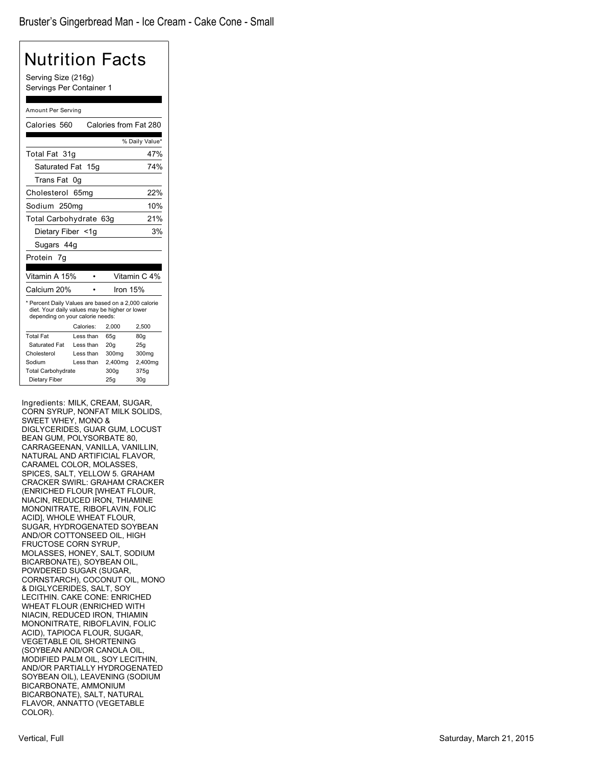| Nutrition Facts                                                                                                                           |                               |                       |                 |  |  |
|-------------------------------------------------------------------------------------------------------------------------------------------|-------------------------------|-----------------------|-----------------|--|--|
| Serving Size (216g)<br>Servings Per Container 1                                                                                           |                               |                       |                 |  |  |
|                                                                                                                                           |                               |                       |                 |  |  |
| Amount Per Serving                                                                                                                        |                               |                       |                 |  |  |
| Calories 560                                                                                                                              |                               | Calories from Fat 280 |                 |  |  |
|                                                                                                                                           |                               |                       | % Daily Value*  |  |  |
| Total Fat 31q                                                                                                                             |                               |                       | 47%             |  |  |
| Saturated Fat                                                                                                                             | 15q                           |                       | 74%             |  |  |
| <b>Trans Fat</b>                                                                                                                          | 0g                            |                       |                 |  |  |
| Cholesterol                                                                                                                               | 65 <sub>mq</sub>              |                       | 22%             |  |  |
| Sodium 250mg                                                                                                                              |                               |                       | 10%             |  |  |
|                                                                                                                                           | 21%<br>Total Carbohydrate 63g |                       |                 |  |  |
| 3%<br>Dietary Fiber <1g                                                                                                                   |                               |                       |                 |  |  |
| Sugars 44g                                                                                                                                |                               |                       |                 |  |  |
| Protein 7g                                                                                                                                |                               |                       |                 |  |  |
|                                                                                                                                           |                               |                       |                 |  |  |
| Vitamin A 15%                                                                                                                             |                               |                       | Vitamin C 4%    |  |  |
| Calcium 20%                                                                                                                               |                               | Iron 15%              |                 |  |  |
| * Percent Daily Values are based on a 2,000 calorie<br>diet. Your daily values may be higher or lower<br>depending on your calorie needs: |                               |                       |                 |  |  |
|                                                                                                                                           | Calories:                     | 2,000                 | 2,500           |  |  |
| <b>Total Fat</b>                                                                                                                          | Less than                     | 65q                   | 80q             |  |  |
| Saturated Fat                                                                                                                             | Less than                     | 20q                   | 25q             |  |  |
| Cholesterol                                                                                                                               | Less than                     | 300mg                 | 300mg           |  |  |
| Sodium<br><b>Total Carbohydrate</b>                                                                                                       | Less than                     | 2,400mg<br>300q       | 2,400mg<br>375g |  |  |
| Dietary Fiber                                                                                                                             |                               | 25q                   | 30 <sub>g</sub> |  |  |
|                                                                                                                                           |                               |                       |                 |  |  |
| Ingredients: MILK, CREAM, SUGAR,                                                                                                          |                               |                       |                 |  |  |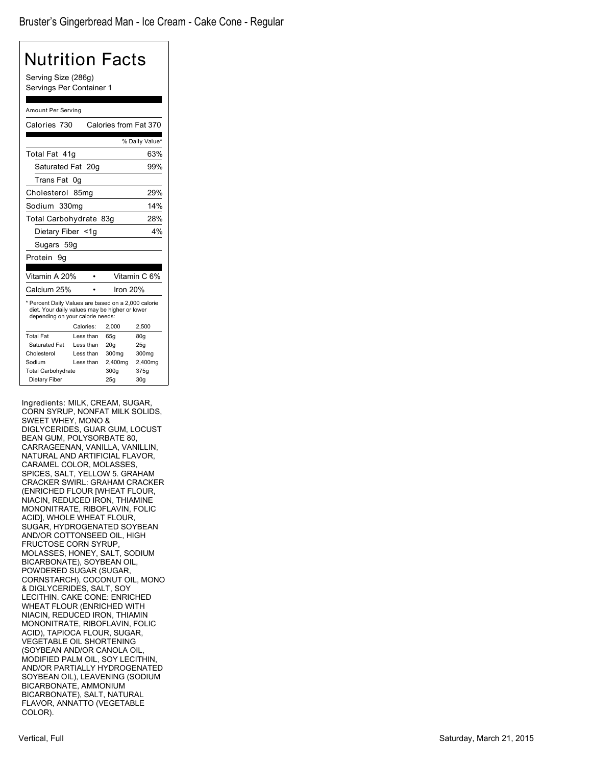| Nutrition Facts                                                                                                                           |                                                         |                       |                   |  |  |
|-------------------------------------------------------------------------------------------------------------------------------------------|---------------------------------------------------------|-----------------------|-------------------|--|--|
| Serving Size (286g)<br>Servings Per Container 1                                                                                           |                                                         |                       |                   |  |  |
| Amount Per Serving                                                                                                                        |                                                         |                       |                   |  |  |
| Calories 730                                                                                                                              |                                                         | Calories from Fat 370 |                   |  |  |
|                                                                                                                                           |                                                         |                       | % Daily Value*    |  |  |
| Total Fat 41q                                                                                                                             |                                                         |                       | 63%               |  |  |
| Saturated Fat 20g                                                                                                                         |                                                         |                       | 99%               |  |  |
| Trans Fat                                                                                                                                 | 0g                                                      |                       |                   |  |  |
| Cholesterol 85mg                                                                                                                          |                                                         |                       | 29%               |  |  |
| Sodium 330mg                                                                                                                              |                                                         |                       | 14%               |  |  |
| Total Carbohydrate 83g                                                                                                                    |                                                         |                       | 28%               |  |  |
| Dietary Fiber <1g                                                                                                                         |                                                         |                       | 4%                |  |  |
| Sugars 59g                                                                                                                                |                                                         |                       |                   |  |  |
| Protein 9q                                                                                                                                |                                                         |                       |                   |  |  |
|                                                                                                                                           |                                                         |                       |                   |  |  |
| Vitamin A 20%                                                                                                                             | ٠                                                       |                       | Vitamin C 6%      |  |  |
| Calcium 25%                                                                                                                               |                                                         | Iron 20%              |                   |  |  |
| * Percent Daily Values are based on a 2,000 calorie<br>diet. Your daily values may be higher or lower<br>depending on your calorie needs: |                                                         |                       |                   |  |  |
|                                                                                                                                           | Calories:                                               | 2,000                 | 2,500             |  |  |
| <b>Total Fat</b>                                                                                                                          | Less than                                               | 65q                   | 80g               |  |  |
| Saturated Fat                                                                                                                             | Less than                                               | 20 <sub>g</sub>       | 25g               |  |  |
| Cholesterol                                                                                                                               | Less than                                               | 300mg                 | 300 <sub>mg</sub> |  |  |
|                                                                                                                                           | Less than<br>Sodium<br>2,400mg<br>2,400mg               |                       |                   |  |  |
| Dietary Fiber                                                                                                                             | <b>Total Carbohydrate</b><br>300q<br>375g<br>25g<br>30g |                       |                   |  |  |
|                                                                                                                                           |                                                         |                       |                   |  |  |
| Ingredients: MILK, CREAM, SUGAR,<br>CORN SYRUP, NONFAT MILK SOLIDS,                                                                       |                                                         |                       |                   |  |  |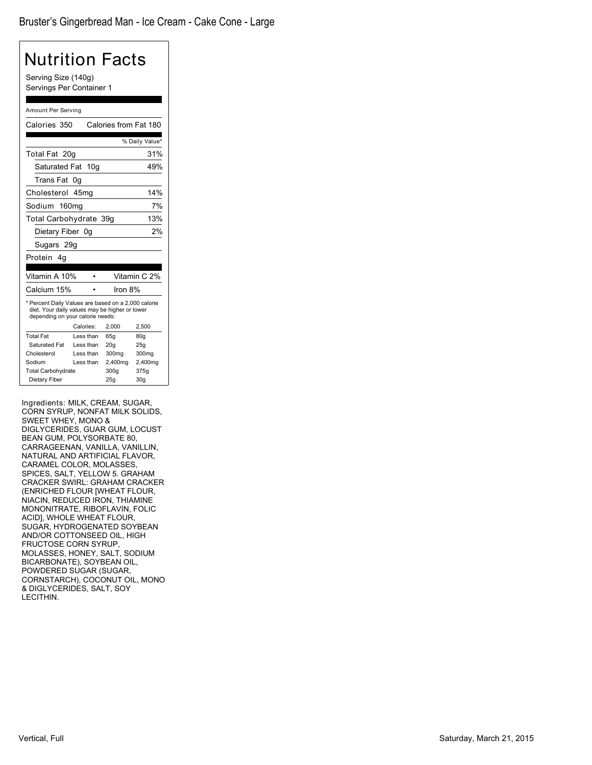| Serving Size (140g)                                                                                                                       |                 |                       |                |  |
|-------------------------------------------------------------------------------------------------------------------------------------------|-----------------|-----------------------|----------------|--|
| Servings Per Container 1                                                                                                                  |                 |                       |                |  |
|                                                                                                                                           |                 |                       |                |  |
| Amount Per Serving                                                                                                                        |                 |                       |                |  |
| Calories 350                                                                                                                              |                 | Calories from Fat 180 |                |  |
|                                                                                                                                           |                 |                       | % Daily Value* |  |
| Total Fat 20g                                                                                                                             |                 |                       | 31%            |  |
| Saturated Fat                                                                                                                             | 10 <sub>q</sub> |                       | 49%            |  |
| Trans Fat 0g                                                                                                                              |                 |                       |                |  |
| Cholesterol                                                                                                                               | 45mg            |                       | 14%            |  |
| Sodium 160mg                                                                                                                              |                 |                       | 7%             |  |
| Total Carbohydrate 39g                                                                                                                    |                 |                       | 13%            |  |
|                                                                                                                                           |                 |                       | 2%             |  |
| Dietary Fiber 0g                                                                                                                          |                 |                       |                |  |
| Sugars 29g                                                                                                                                |                 |                       |                |  |
| Protein 4q                                                                                                                                |                 |                       |                |  |
| Vitamin A 10%                                                                                                                             |                 |                       | Vitamin C 2%   |  |
| Calcium 15%                                                                                                                               |                 | Iron 8%               |                |  |
| * Percent Daily Values are based on a 2,000 calorie<br>diet. Your daily values may be higher or lower<br>depending on your calorie needs: |                 |                       |                |  |
|                                                                                                                                           | Calories:       | 2,000                 | 2,500          |  |
| <b>Total Fat</b>                                                                                                                          | Less than       | 65g                   | 80g            |  |
| <b>Saturated Fat</b>                                                                                                                      | Less than       | 20 <sub>g</sub>       | 25g            |  |
| Cholesterol                                                                                                                               | Less than       | 300mg                 | 300mg          |  |
| Sodium                                                                                                                                    | Less than       | 2,400mg               | 2,400mg        |  |
| <b>Total Carbohydrate</b><br>300q<br>375g<br>Dietary Fiber<br>30 <sub>g</sub><br>25g                                                      |                 |                       |                |  |

Ingredients: MILK, CREAM, SUGAR, CORN SYRUP, NONFAT MILK SOLIDS, SWEET WHEY, MONO & DIGLYCERIDES, GUAR GUM, LOCUST BEAN GUM, POLYSORBATE 80, CARRAGEENAN, VANILLA, VANILLIN, NATURAL AND ARTIFICIAL FLAVOR, CARAMEL COLOR, MOLASSES, SPICES, SALT, YELLOW 5. GRAHAM CRACKER SWIRL: GRAHAM CRACKER (ENRICHED FLOUR [WHEAT FLOUR, NIACIN, REDUCED IRON, THIAMINE MONONITRATE, RIBOFLAVIN, FOLIC ACID], WHOLE WHEAT FLOUR, SUGAR, HYDROGENATED SOYBEAN AND/OR COTTONSEED OIL, HIGH FRUCTOSE CORN SYRUP, MOLASSES, HONEY, SALT, SODIUM BICARBONATE), SOYBEAN OIL, POWDERED SUGAR (SUGAR, CORNSTARCH), COCONUT OIL, MONO & DIGLYCERIDES, SALT, SOY LECITHIN.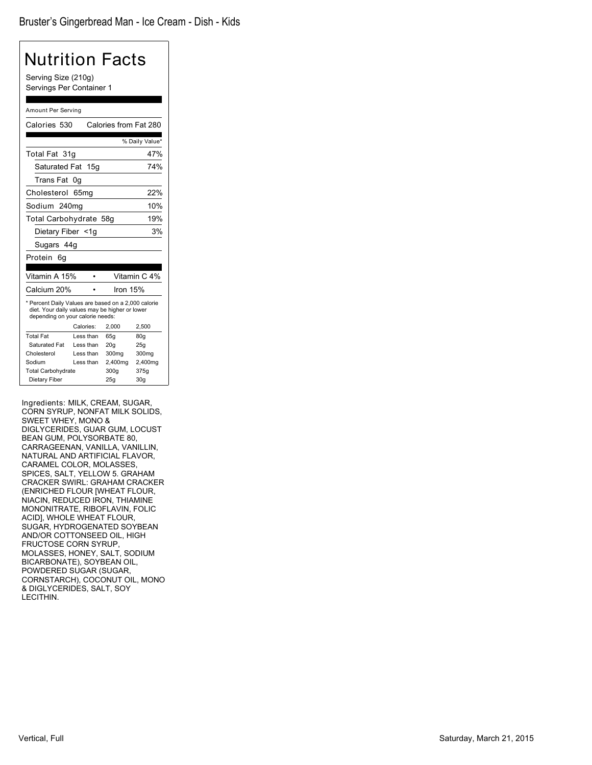## Nutrition Facts Serving Size (210g) Servings Per Container 1 Amount Per Serving Calories 530 Calories from Fat 280 % Daily Value\* Total Fat 31g 47% Saturated Fat 15g 74% Trans Fat 0g Cholesterol 65mg 22% Sodium 240mg 10% Total Carbohydrate 58g 19% Dietary Fiber <1g 3% Sugars 44g Protein 6g Vitamin A 15% • Vitamin C 4%

Calcium 20% • Iron 15% \* Percent Daily Values are based on a 2,000 calorie diet. Your daily values may be higher or lower depending on your calorie needs: Calories: 2,000 2,500 Total Fat Less than 65g 80g<br>Saturated Fat Less than 20g 25g Saturated Fat Less than 20g Cholesterol Less than 300mg 300mg Sodium Less than 2,400mg 2,400mg<br>Total Carbohydrate 300g 375g

Dietary Fiber 25g 30g

Total Carbohydrate

Ingredients: MILK, CREAM, SUGAR, CORN SYRUP, NONFAT MILK SOLIDS, SWEET WHEY, MONO & DIGLYCERIDES, GUAR GUM, LOCUST BEAN GUM, POLYSORBATE 80, CARRAGEENAN, VANILLA, VANILLIN, NATURAL AND ARTIFICIAL FLAVOR, CARAMEL COLOR, MOLASSES, SPICES, SALT, YELLOW 5. GRAHAM CRACKER SWIRL: GRAHAM CRACKER (ENRICHED FLOUR [WHEAT FLOUR, NIACIN, REDUCED IRON, THIAMINE MONONITRATE, RIBOFLAVIN, FOLIC ACID], WHOLE WHEAT FLOUR, SUGAR, HYDROGENATED SOYBEAN AND/OR COTTONSEED OIL, HIGH FRUCTOSE CORN SYRUP, MOLASSES, HONEY, SALT, SODIUM BICARBONATE), SOYBEAN OIL, POWDERED SUGAR (SUGAR, CORNSTARCH), COCONUT OIL, MONO & DIGLYCERIDES, SALT, SOY LECITHIN.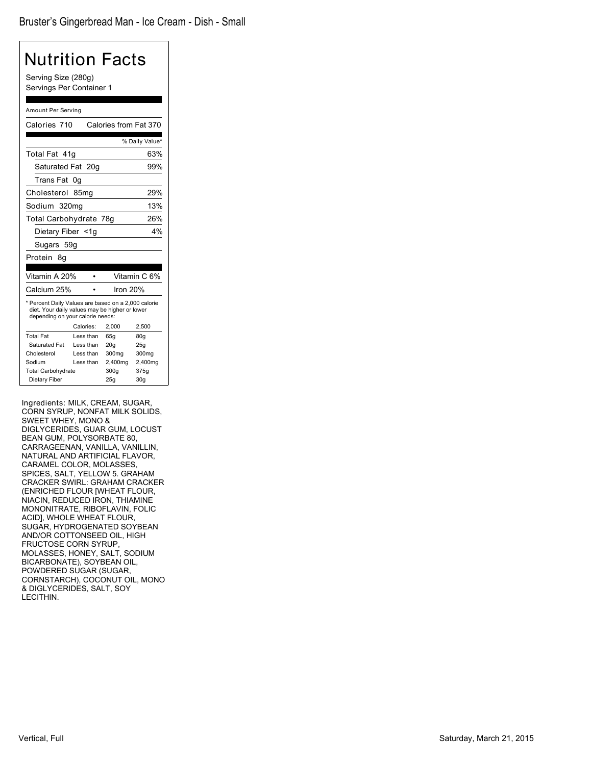| Nutrition Facts                                                                                                                           |                               |                       |                |  |
|-------------------------------------------------------------------------------------------------------------------------------------------|-------------------------------|-----------------------|----------------|--|
| Serving Size (280g)<br>Servings Per Container 1                                                                                           |                               |                       |                |  |
|                                                                                                                                           |                               |                       |                |  |
| Amount Per Serving                                                                                                                        |                               |                       |                |  |
| Calories 710                                                                                                                              |                               | Calories from Fat 370 |                |  |
|                                                                                                                                           |                               |                       | % Daily Value* |  |
| Total Fat 41q                                                                                                                             |                               |                       | 63%            |  |
| Saturated Fat 20g                                                                                                                         |                               |                       | 99%            |  |
| Trans Fat 0g                                                                                                                              |                               |                       |                |  |
| Cholesterol 85mg                                                                                                                          |                               |                       | 29%            |  |
|                                                                                                                                           | 13%<br>Sodium 320mg           |                       |                |  |
|                                                                                                                                           | 26%<br>Total Carbohydrate 78g |                       |                |  |
|                                                                                                                                           | 4%<br>Dietary Fiber <1g       |                       |                |  |
| Sugars 59g                                                                                                                                |                               |                       |                |  |
| Protein 8q                                                                                                                                |                               |                       |                |  |
|                                                                                                                                           |                               |                       |                |  |
| Vitamin A 20%                                                                                                                             |                               |                       | Vitamin C 6%   |  |
| Calcium 25%                                                                                                                               |                               | Iron 20%              |                |  |
| * Percent Daily Values are based on a 2,000 calorie<br>diet. Your daily values may be higher or lower<br>depending on your calorie needs: |                               |                       |                |  |
|                                                                                                                                           | Calories:                     | 2,000                 | 2,500          |  |
| <b>Total Fat</b>                                                                                                                          | Less than                     | 65g                   | 80g            |  |
| Saturated Fat                                                                                                                             | Less than                     | 20g                   | 25g            |  |
| Cholesterol                                                                                                                               | Less than                     | 300mg                 | 300mg          |  |
| Sodium                                                                                                                                    | Less than                     | 2,400mg               | 2,400mg        |  |
| <b>Total Carbohydrate</b>                                                                                                                 |                               | 300g                  | 375g           |  |
| Dietary Fiber                                                                                                                             |                               | 25g                   | 30q            |  |

Ingredients: MILK, CREAM, SUGAR, CORN SYRUP, NONFAT MILK SOLIDS, SWEET WHEY, MONO & DIGLYCERIDES, GUAR GUM, LOCUST BEAN GUM, POLYSORBATE 80, CARRAGEENAN, VANILLA, VANILLIN, NATURAL AND ARTIFICIAL FLAVOR, CARAMEL COLOR, MOLASSES, SPICES, SALT, YELLOW 5. GRAHAM CRACKER SWIRL: GRAHAM CRACKER (ENRICHED FLOUR [WHEAT FLOUR, NIACIN, REDUCED IRON, THIAMINE MONONITRATE, RIBOFLAVIN, FOLIC ACID], WHOLE WHEAT FLOUR, SUGAR, HYDROGENATED SOYBEAN AND/OR COTTONSEED OIL, HIGH FRUCTOSE CORN SYRUP, MOLASSES, HONEY, SALT, SODIUM BICARBONATE), SOYBEAN OIL, POWDERED SUGAR (SUGAR, CORNSTARCH), COCONUT OIL, MONO & DIGLYCERIDES, SALT, SOY LECITHIN.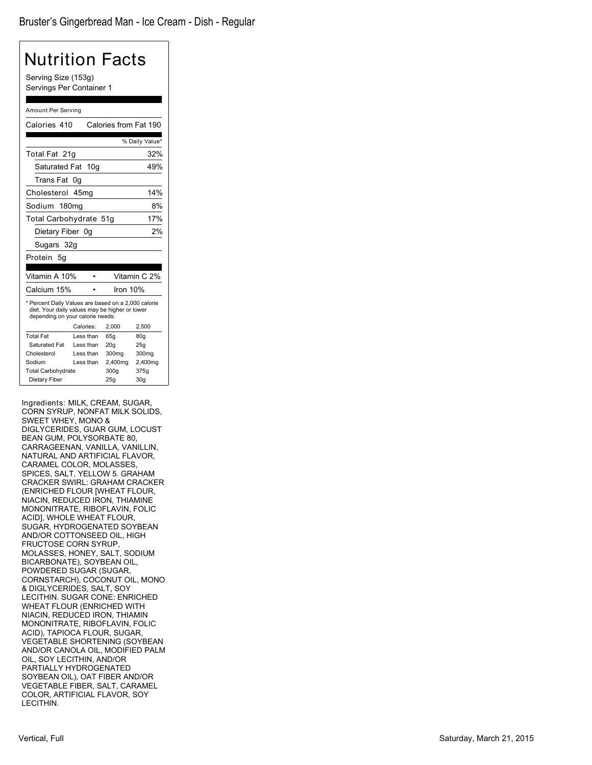| Nutrition Facts                                                                                                                           |                        |                       |                |  |
|-------------------------------------------------------------------------------------------------------------------------------------------|------------------------|-----------------------|----------------|--|
| Serving Size (153g)<br>Servings Per Container 1                                                                                           |                        |                       |                |  |
|                                                                                                                                           |                        |                       |                |  |
| Amount Per Serving                                                                                                                        |                        |                       |                |  |
| Calories 410                                                                                                                              |                        | Calories from Fat 190 |                |  |
|                                                                                                                                           |                        |                       | % Daily Value* |  |
| Total Fat 21g                                                                                                                             |                        |                       | 32%            |  |
| Saturated Fat                                                                                                                             | 10 <sub>q</sub>        |                       | 49%            |  |
| Trans Fat 0g                                                                                                                              |                        |                       |                |  |
| Cholesterol                                                                                                                               | 45mq                   |                       | 14%            |  |
|                                                                                                                                           |                        |                       |                |  |
| Sodium 180mg                                                                                                                              |                        |                       | 8%             |  |
| Total Carbohydrate 51g                                                                                                                    |                        |                       | 17%            |  |
| Dietary Fiber 0g                                                                                                                          |                        |                       | 2%             |  |
| Sugars 32g                                                                                                                                |                        |                       |                |  |
| Protein<br>-5a                                                                                                                            |                        |                       |                |  |
|                                                                                                                                           |                        |                       |                |  |
| Vitamin A 10%                                                                                                                             |                        |                       | Vitamin C 2%   |  |
| Calcium 15%                                                                                                                               |                        | Iron $10%$            |                |  |
| * Percent Daily Values are based on a 2,000 calorie<br>diet. Your daily values may be higher or lower<br>depending on your calorie needs: |                        |                       |                |  |
|                                                                                                                                           | Calories:              | 2,000                 | 2,500          |  |
| <b>Total Fat</b><br>Saturated Fat                                                                                                         | Less than<br>Less than | 65q<br>20q            | 80q<br>25q     |  |
| Cholesterol                                                                                                                               | Less than              | 300mg                 | 300mg          |  |
| Sodium                                                                                                                                    | Less than              | 2,400mg               | 2,400mg        |  |
| <b>Total Carbohydrate</b>                                                                                                                 |                        | 300q                  | 375g           |  |
| Dietary Fiber<br>25g<br>30 <sub>g</sub>                                                                                                   |                        |                       |                |  |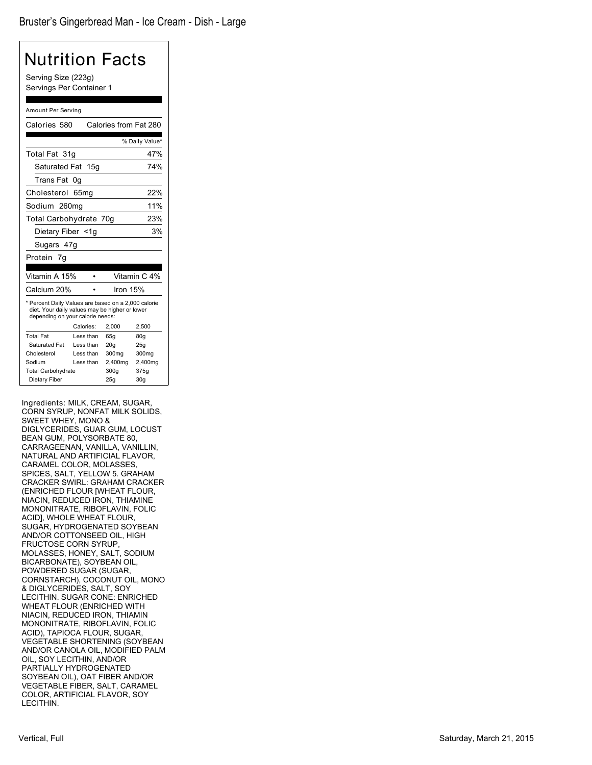## Nutrition Facts Serving Size (223g) Servings Per Container 1 Amount Per Serving Calories 580 Calories from Fat 280 % Daily Value\* Total Fat 31g 47% Saturated Fat 15g 74% Trans Fat 0g Cholesterol 65mg 22% Sodium 260mg 11% Total Carbohydrate 70g 23% Dietary Fiber <1g 3%

Sugars 47g

| Protein 7q                                                                                                                                |           |            |                   |  |
|-------------------------------------------------------------------------------------------------------------------------------------------|-----------|------------|-------------------|--|
|                                                                                                                                           |           |            |                   |  |
| Vitamin A 15%                                                                                                                             |           |            | Vitamin C 4%      |  |
| Calcium 20%                                                                                                                               |           | Iron $15%$ |                   |  |
| * Percent Daily Values are based on a 2,000 calorie<br>diet. Your daily values may be higher or lower<br>depending on your calorie needs: |           |            |                   |  |
|                                                                                                                                           | Calories: | 2.000      | 2.500             |  |
| <b>Total Fat</b>                                                                                                                          | Less than | 65q        | 80q               |  |
| Saturated Fat                                                                                                                             | Less than | 20q        | 25q               |  |
| Cholesterol                                                                                                                               | Less than | 300mg      | 300 <sub>mg</sub> |  |
| Sodium                                                                                                                                    | Less than | 2,400mg    | 2,400mg           |  |
| <b>Total Carbohydrate</b>                                                                                                                 |           | 300g       | 375g              |  |
| Dietary Fiber                                                                                                                             |           | 25a        | 30a               |  |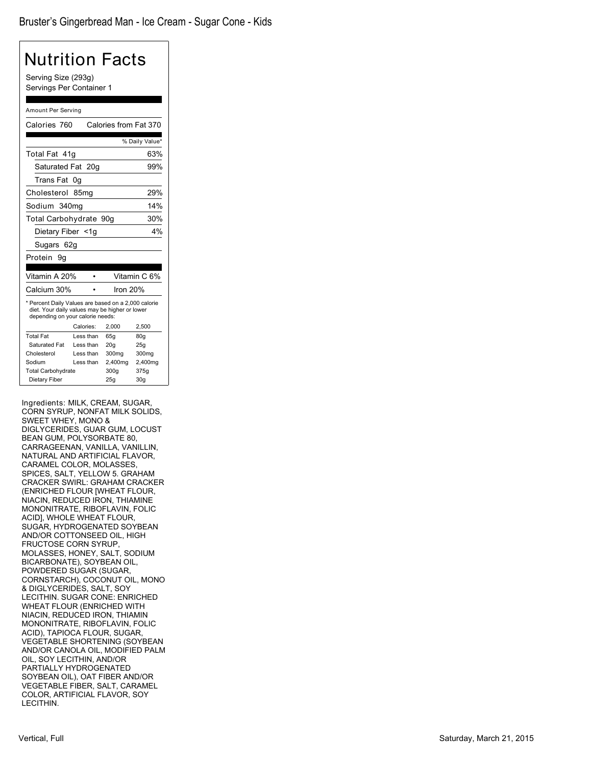| Nutrition Facts                                                                                                                           |           |                       |                |  |
|-------------------------------------------------------------------------------------------------------------------------------------------|-----------|-----------------------|----------------|--|
| Serving Size (293g)<br>Servings Per Container 1                                                                                           |           |                       |                |  |
|                                                                                                                                           |           |                       |                |  |
| Amount Per Serving                                                                                                                        |           |                       |                |  |
| Calories 760                                                                                                                              |           | Calories from Fat 370 |                |  |
|                                                                                                                                           |           |                       | % Daily Value* |  |
| Total Fat 41q                                                                                                                             |           |                       | 63%            |  |
| Saturated Fat                                                                                                                             | 20q       |                       | 99%            |  |
| Trans Fat 0g                                                                                                                              |           |                       |                |  |
| Cholesterol 85mg                                                                                                                          |           |                       | 29%            |  |
|                                                                                                                                           |           |                       |                |  |
| Sodium 340mg                                                                                                                              |           |                       | 14%            |  |
| Total Carbohydrate 90g                                                                                                                    |           |                       | 30%            |  |
| 4%<br>Dietary Fiber <1g                                                                                                                   |           |                       |                |  |
| Sugars 62g                                                                                                                                |           |                       |                |  |
| Protein 9g                                                                                                                                |           |                       |                |  |
|                                                                                                                                           |           |                       |                |  |
| Vitamin A 20%                                                                                                                             |           |                       | Vitamin C 6%   |  |
| Calcium 30%                                                                                                                               |           | Iron 20%              |                |  |
| * Percent Daily Values are based on a 2,000 calorie<br>diet. Your daily values may be higher or lower<br>depending on your calorie needs: | Calories: | 2,000                 | 2,500          |  |
| <b>Total Fat</b>                                                                                                                          | Less than | 65g                   | 80g            |  |
| <b>Saturated Fat</b>                                                                                                                      | Less than | 20g                   | 25g            |  |
| Cholesterol                                                                                                                               | Less than | 300mg                 | 300mg          |  |
| Sodium                                                                                                                                    | Less than | 2,400mg               | 2,400mg        |  |
| <b>Total Carbohydrate</b>                                                                                                                 |           | 300q                  | 375g           |  |
| Dietary Fiber<br>25g<br>30 <sub>g</sub>                                                                                                   |           |                       |                |  |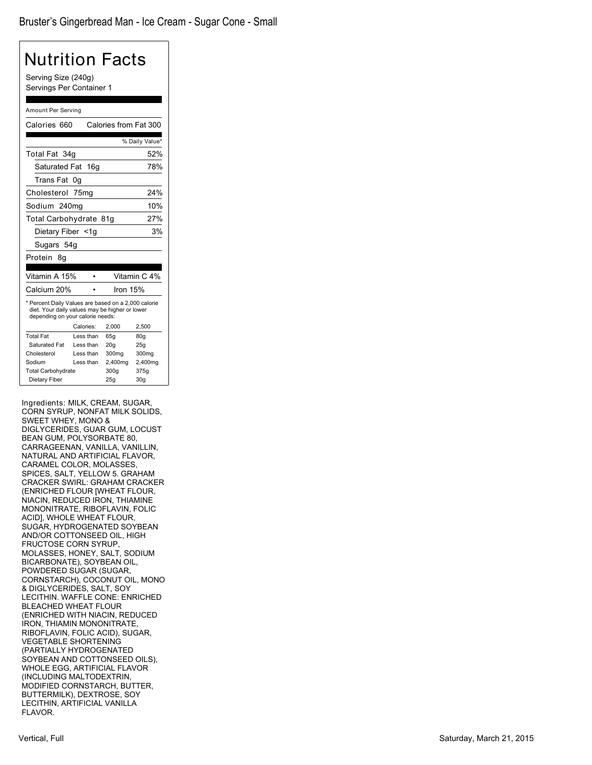| Serving Size (240g)<br>Servings Per Container 1<br>Amount Per Serving<br>Calories from Fat 300<br>Calories 660<br>% Daily Value*<br>Total Fat 34g<br><b>Saturated Fat</b><br>16 <sub>q</sub><br>Trans Fat 0q<br>Cholesterol 75mg<br>Sodium 240mg<br>Total Carbohydrate 81g<br>Dietary Fiber <1g<br>Sugars 54g<br>Protein 8q<br>Vitamin C 4%<br>Vitamin A 15%<br>٠<br>Calcium 20%<br>Iron 15%<br>* Percent Daily Values are based on a 2,000 calorie<br>diet. Your daily values may be higher or lower<br>depending on your calorie needs:<br>Calories:<br>2,500<br>2,000<br><b>Total Fat</b><br>Less than<br>65q<br>80 <sub>g</sub><br>Saturated Fat<br>Less than<br>20 <sub>g</sub><br>25g<br>Less than<br>Cholesterol<br>300mg<br>300mg<br>Sodium<br>Less than<br>2,400mg<br>2,400mg<br><b>Total Carbohydrate</b><br>300q<br>375g | Nutrition Facts |  |     |                 |
|-------------------------------------------------------------------------------------------------------------------------------------------------------------------------------------------------------------------------------------------------------------------------------------------------------------------------------------------------------------------------------------------------------------------------------------------------------------------------------------------------------------------------------------------------------------------------------------------------------------------------------------------------------------------------------------------------------------------------------------------------------------------------------------------------------------------------------------|-----------------|--|-----|-----------------|
|                                                                                                                                                                                                                                                                                                                                                                                                                                                                                                                                                                                                                                                                                                                                                                                                                                     |                 |  |     |                 |
|                                                                                                                                                                                                                                                                                                                                                                                                                                                                                                                                                                                                                                                                                                                                                                                                                                     |                 |  |     |                 |
|                                                                                                                                                                                                                                                                                                                                                                                                                                                                                                                                                                                                                                                                                                                                                                                                                                     |                 |  |     |                 |
|                                                                                                                                                                                                                                                                                                                                                                                                                                                                                                                                                                                                                                                                                                                                                                                                                                     |                 |  |     |                 |
|                                                                                                                                                                                                                                                                                                                                                                                                                                                                                                                                                                                                                                                                                                                                                                                                                                     |                 |  |     |                 |
|                                                                                                                                                                                                                                                                                                                                                                                                                                                                                                                                                                                                                                                                                                                                                                                                                                     |                 |  |     | 52%             |
|                                                                                                                                                                                                                                                                                                                                                                                                                                                                                                                                                                                                                                                                                                                                                                                                                                     |                 |  |     | 78%             |
|                                                                                                                                                                                                                                                                                                                                                                                                                                                                                                                                                                                                                                                                                                                                                                                                                                     |                 |  |     |                 |
|                                                                                                                                                                                                                                                                                                                                                                                                                                                                                                                                                                                                                                                                                                                                                                                                                                     |                 |  |     | 24%             |
|                                                                                                                                                                                                                                                                                                                                                                                                                                                                                                                                                                                                                                                                                                                                                                                                                                     |                 |  |     | 10%             |
|                                                                                                                                                                                                                                                                                                                                                                                                                                                                                                                                                                                                                                                                                                                                                                                                                                     |                 |  |     | 27%             |
|                                                                                                                                                                                                                                                                                                                                                                                                                                                                                                                                                                                                                                                                                                                                                                                                                                     | 3%              |  |     |                 |
|                                                                                                                                                                                                                                                                                                                                                                                                                                                                                                                                                                                                                                                                                                                                                                                                                                     |                 |  |     |                 |
|                                                                                                                                                                                                                                                                                                                                                                                                                                                                                                                                                                                                                                                                                                                                                                                                                                     |                 |  |     |                 |
|                                                                                                                                                                                                                                                                                                                                                                                                                                                                                                                                                                                                                                                                                                                                                                                                                                     |                 |  |     |                 |
|                                                                                                                                                                                                                                                                                                                                                                                                                                                                                                                                                                                                                                                                                                                                                                                                                                     |                 |  |     |                 |
|                                                                                                                                                                                                                                                                                                                                                                                                                                                                                                                                                                                                                                                                                                                                                                                                                                     |                 |  |     |                 |
|                                                                                                                                                                                                                                                                                                                                                                                                                                                                                                                                                                                                                                                                                                                                                                                                                                     |                 |  |     |                 |
|                                                                                                                                                                                                                                                                                                                                                                                                                                                                                                                                                                                                                                                                                                                                                                                                                                     |                 |  |     |                 |
|                                                                                                                                                                                                                                                                                                                                                                                                                                                                                                                                                                                                                                                                                                                                                                                                                                     |                 |  |     |                 |
|                                                                                                                                                                                                                                                                                                                                                                                                                                                                                                                                                                                                                                                                                                                                                                                                                                     |                 |  |     |                 |
|                                                                                                                                                                                                                                                                                                                                                                                                                                                                                                                                                                                                                                                                                                                                                                                                                                     |                 |  |     |                 |
|                                                                                                                                                                                                                                                                                                                                                                                                                                                                                                                                                                                                                                                                                                                                                                                                                                     |                 |  |     |                 |
|                                                                                                                                                                                                                                                                                                                                                                                                                                                                                                                                                                                                                                                                                                                                                                                                                                     |                 |  |     |                 |
|                                                                                                                                                                                                                                                                                                                                                                                                                                                                                                                                                                                                                                                                                                                                                                                                                                     | Dietary Fiber   |  | 25g | 30 <sub>g</sub> |

Ingredients: MILK, CREAM, SUGAR, CORN SYRUP, NONFAT MILK SOLIDS, SWEET WHEY, MONO & DIGLYCERIDES, GUAR GUM, LOCUST BEAN GUM, POLYSORBATE 80, CARRAGEENAN, VANILLA, VANILLIN, NATURAL AND ARTIFICIAL FLAVOR, CARAMEL COLOR, MOLASSES, SPICES, SALT, YELLOW 5. GRAHAM CRACKER SWIRL: GRAHAM CRACKER (ENRICHED FLOUR [WHEAT FLOUR, NIACIN, REDUCED IRON, THIAMINE MONONITRATE, RIBOFLAVIN, FOLIC ACID], WHOLE WHEAT FLOUR, SUGAR, HYDROGENATED SOYBEAN AND/OR COTTONSEED OIL, HIGH FRUCTOSE CORN SYRUP, MOLASSES, HONEY, SALT, SODIUM BICARBONATE), SOYBEAN OIL, POWDERED SUGAR (SUGAR, CORNSTARCH), COCONUT OIL, MONO & DIGLYCERIDES, SALT, SOY LECITHIN. WAFFLE CONE: ENRICHED BLEACHED WHEAT FLOUR (ENRICHED WITH NIACIN, REDUCED IRON, THIAMIN MONONITRATE, RIBOFLAVIN, FOLIC ACID), SUGAR, VEGETABLE SHORTENING (PARTIALLY HYDROGENATED SOYBEAN AND COTTONSEED OILS), WHOLE EGG, ARTIFICIAL FLAVOR (INCLUDING MALTODEXTRIN, MODIFIED CORNSTARCH, BUTTER, BUTTERMILK), DEXTROSE, SOY LECITHIN, ARTIFICIAL VANILLA FLAVOR.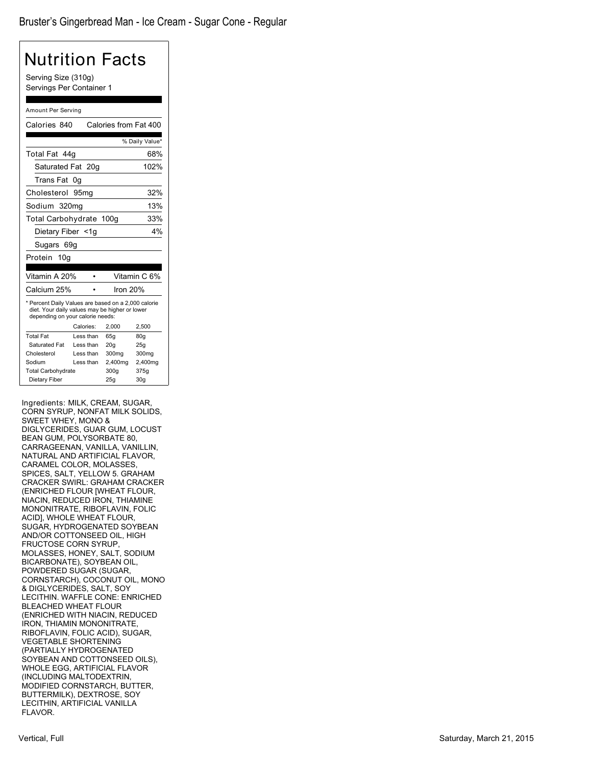| Serving Size (310g)<br>Servings Per Container 1                                                                                           |                        |            |                       |  |
|-------------------------------------------------------------------------------------------------------------------------------------------|------------------------|------------|-----------------------|--|
|                                                                                                                                           |                        |            |                       |  |
| Amount Per Serving                                                                                                                        |                        |            |                       |  |
| Calories 840                                                                                                                              |                        |            | Calories from Fat 400 |  |
|                                                                                                                                           |                        |            | % Daily Value*        |  |
| Total Fat 44q                                                                                                                             |                        |            | 68%                   |  |
| Saturated Fat                                                                                                                             | 20 <sub>q</sub>        |            | 102%                  |  |
| Trans Fat                                                                                                                                 | 0g                     |            |                       |  |
| Cholesterol                                                                                                                               | 95 <sub>mg</sub>       |            | 32%                   |  |
| Sodium 320mg                                                                                                                              |                        |            | 13%                   |  |
| Total Carbohydrate 100g                                                                                                                   |                        |            | 33%                   |  |
| Dietary Fiber <1g                                                                                                                         |                        |            | 4%                    |  |
|                                                                                                                                           |                        |            |                       |  |
| Sugars 69g                                                                                                                                |                        |            |                       |  |
| Protein<br>10q                                                                                                                            |                        |            |                       |  |
| Vitamin A 20%                                                                                                                             | ٠                      |            | Vitamin C 6%          |  |
| Calcium 25%                                                                                                                               |                        | Iron 20%   |                       |  |
| * Percent Daily Values are based on a 2,000 calorie<br>diet. Your daily values may be higher or lower<br>depending on your calorie needs: |                        |            |                       |  |
|                                                                                                                                           | Calories:              | 2,000      | 2,500                 |  |
| <b>Total Fat</b><br>Saturated Fat                                                                                                         | Less than<br>Less than | 65g<br>20g | 80g<br>25g            |  |
| Cholesterol                                                                                                                               | Less than              | 300mg      | 300mg                 |  |
| Sodium                                                                                                                                    | Less than              | 2,400mg    | 2,400mg               |  |
| <b>Total Carbohydrate</b>                                                                                                                 |                        | 300g       | 375g                  |  |
| Dietary Fiber<br>25q<br>30q                                                                                                               |                        |            |                       |  |

CORN SYRUP, NONFAT MILK SOLIDS, SWEET WHEY, MONO & DIGLYCERIDES, GUAR GUM, LOCUST BEAN GUM, POLYSORBATE 80, CARRAGEENAN, VANILLA, VANILLIN, NATURAL AND ARTIFICIAL FLAVOR, CARAMEL COLOR, MOLASSES, SPICES, SALT, YELLOW 5. GRAHAM CRACKER SWIRL: GRAHAM CRACKER (ENRICHED FLOUR [WHEAT FLOUR, NIACIN, REDUCED IRON, THIAMINE MONONITRATE, RIBOFLAVIN, FOLIC ACID], WHOLE WHEAT FLOUR, SUGAR, HYDROGENATED SOYBEAN AND/OR COTTONSEED OIL, HIGH FRUCTOSE CORN SYRUP, MOLASSES, HONEY, SALT, SODIUM BICARBONATE), SOYBEAN OIL, POWDERED SUGAR (SUGAR, CORNSTARCH), COCONUT OIL, MONO & DIGLYCERIDES, SALT, SOY LECITHIN. WAFFLE CONE: ENRICHED BLEACHED WHEAT FLOUR (ENRICHED WITH NIACIN, REDUCED IRON, THIAMIN MONONITRATE, RIBOFLAVIN, FOLIC ACID), SUGAR, VEGETABLE SHORTENING (PARTIALLY HYDROGENATED SOYBEAN AND COTTONSEED OILS), WHOLE EGG, ARTIFICIAL FLAVOR (INCLUDING MALTODEXTRIN, MODIFIED CORNSTARCH, BUTTER, BUTTERMILK), DEXTROSE, SOY LECITHIN, ARTIFICIAL VANILLA FLAVOR.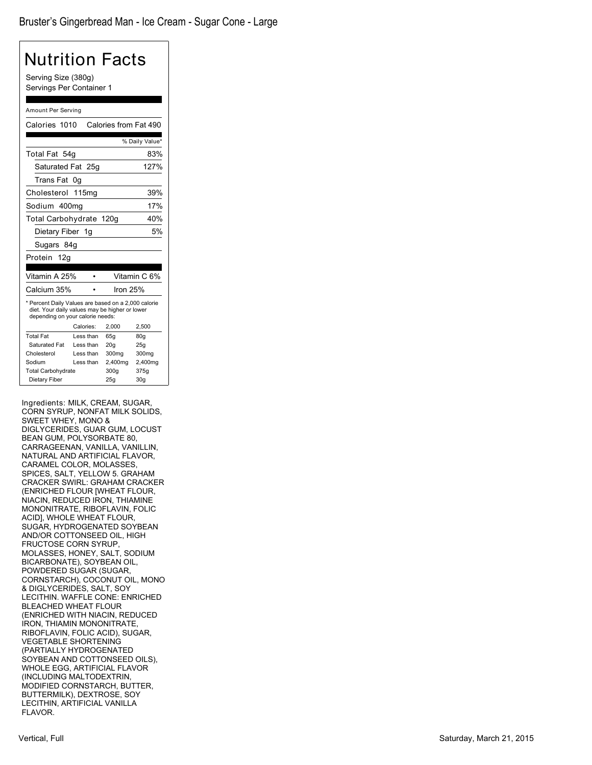| Serving Size (380g)<br>Servings Per Container 1<br>Amount Per Serving<br>Saturated Fat<br>25a<br>0q<br>115mg<br>Sodium 400mg<br>Total Carbohydrate 120g<br>Dietary Fiber<br>1g | Calories from Fat 490                                         | % Daily Value*<br>83%<br>127%<br>39%<br>17%<br>40%                                                                                                                                                                                                                     |
|--------------------------------------------------------------------------------------------------------------------------------------------------------------------------------|---------------------------------------------------------------|------------------------------------------------------------------------------------------------------------------------------------------------------------------------------------------------------------------------------------------------------------------------|
|                                                                                                                                                                                |                                                               |                                                                                                                                                                                                                                                                        |
|                                                                                                                                                                                |                                                               |                                                                                                                                                                                                                                                                        |
|                                                                                                                                                                                |                                                               |                                                                                                                                                                                                                                                                        |
|                                                                                                                                                                                |                                                               |                                                                                                                                                                                                                                                                        |
|                                                                                                                                                                                |                                                               |                                                                                                                                                                                                                                                                        |
|                                                                                                                                                                                |                                                               |                                                                                                                                                                                                                                                                        |
|                                                                                                                                                                                |                                                               |                                                                                                                                                                                                                                                                        |
|                                                                                                                                                                                |                                                               |                                                                                                                                                                                                                                                                        |
|                                                                                                                                                                                |                                                               |                                                                                                                                                                                                                                                                        |
|                                                                                                                                                                                |                                                               |                                                                                                                                                                                                                                                                        |
|                                                                                                                                                                                |                                                               | 5%                                                                                                                                                                                                                                                                     |
|                                                                                                                                                                                |                                                               |                                                                                                                                                                                                                                                                        |
|                                                                                                                                                                                |                                                               |                                                                                                                                                                                                                                                                        |
|                                                                                                                                                                                |                                                               |                                                                                                                                                                                                                                                                        |
|                                                                                                                                                                                |                                                               | Vitamin C 6%                                                                                                                                                                                                                                                           |
|                                                                                                                                                                                | lron 25%                                                      |                                                                                                                                                                                                                                                                        |
|                                                                                                                                                                                |                                                               |                                                                                                                                                                                                                                                                        |
|                                                                                                                                                                                | 2,000                                                         | 2,500                                                                                                                                                                                                                                                                  |
|                                                                                                                                                                                | 65q                                                           | 80g                                                                                                                                                                                                                                                                    |
|                                                                                                                                                                                |                                                               | 25g                                                                                                                                                                                                                                                                    |
|                                                                                                                                                                                |                                                               | 300mg<br>2,400mg                                                                                                                                                                                                                                                       |
|                                                                                                                                                                                |                                                               | 375g                                                                                                                                                                                                                                                                   |
|                                                                                                                                                                                |                                                               | 30 <sub>g</sub>                                                                                                                                                                                                                                                        |
|                                                                                                                                                                                | Calories:<br>Less than<br>Less than<br>Less than<br>Less than | * Percent Daily Values are based on a 2,000 calorie<br>diet. Your daily values may be higher or lower<br>depending on your calorie needs:<br>20 <sub>g</sub><br>300mg<br>2,400mg<br>300g<br>25g<br>Ingredients: MILK, CREAM, SUGAR,<br>CORN SYRUP. NONFAT MILK SOLIDS. |

CORN SYRUP, NONFAT MILK SOLIDS, SWEET WHEY, MONO & DIGLYCERIDES, GUAR GUM, LOCUST BEAN GUM, POLYSORBATE 80, CARRAGEENAN, VANILLA, VANILLIN, NATURAL AND ARTIFICIAL FLAVOR, CARAMEL COLOR, MOLASSES, SPICES, SALT, YELLOW 5. GRAHAM CRACKER SWIRL: GRAHAM CRACKER (ENRICHED FLOUR [WHEAT FLOUR, NIACIN, REDUCED IRON, THIAMINE MONONITRATE, RIBOFLAVIN, FOLIC ACID], WHOLE WHEAT FLOUR, SUGAR, HYDROGENATED SOYBEAN AND/OR COTTONSEED OIL, HIGH FRUCTOSE CORN SYRUP, MOLASSES, HONEY, SALT, SODIUM BICARBONATE), SOYBEAN OIL, POWDERED SUGAR (SUGAR, CORNSTARCH), COCONUT OIL, MONO & DIGLYCERIDES, SALT, SOY LECITHIN. WAFFLE CONE: ENRICHED BLEACHED WHEAT FLOUR (ENRICHED WITH NIACIN, REDUCED IRON, THIAMIN MONONITRATE, RIBOFLAVIN, FOLIC ACID), SUGAR, VEGETABLE SHORTENING (PARTIALLY HYDROGENATED SOYBEAN AND COTTONSEED OILS), WHOLE EGG, ARTIFICIAL FLAVOR (INCLUDING MALTODEXTRIN, MODIFIED CORNSTARCH, BUTTER, BUTTERMILK), DEXTROSE, SOY LECITHIN, ARTIFICIAL VANILLA FLAVOR.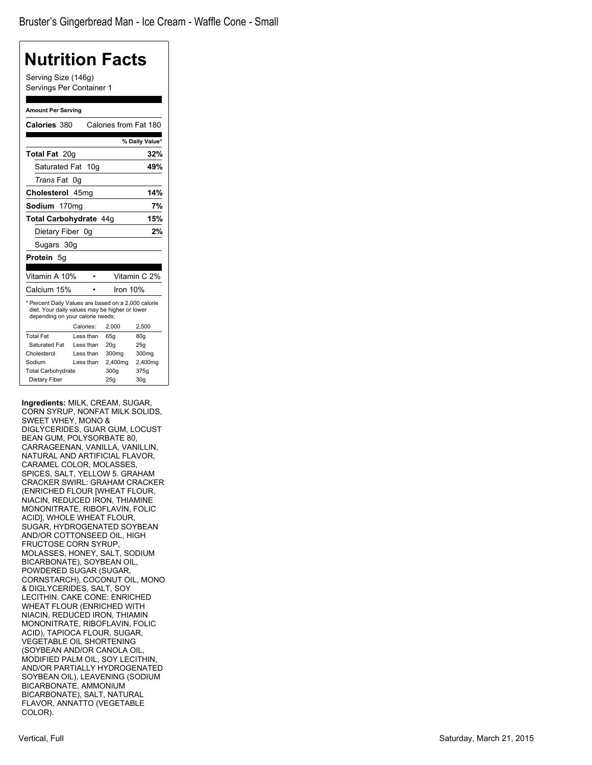## **Nutrition Facts** Serving Size (146g) Servings Per Container 1 **Amount Per Serving Calories** 380 Calories from Fat 180 **% Daily Value\* Total Fat** 20g **32%** Saturated Fat 10g **49%** *Trans* Fat 0g **Cholesterol** 45mg **14% Sodium** 170mg **7% Total Carbohydrate** 44g **15%** Dietary Fiber 0g **2%** Sugars 30g **Protein** 5g Vitamin A 10% • Vitamin C 2% Calcium 15% • Iron 10% \* Percent Daily Values are based on a 2,000 calorie diet. Your daily values may be higher or lower depending on your calorie needs: Calories: 2,000 2,500 Total Fat Less than 65g 80g Saturated Fat Less than 20g 25g Cholesterol Less than 300mg 300mg Sodium Less than 2,400mg 2,400mg<br>Total Carbohydrate 300g 375g Total Carbohydrate 300g Dietary Fiber 25g 30g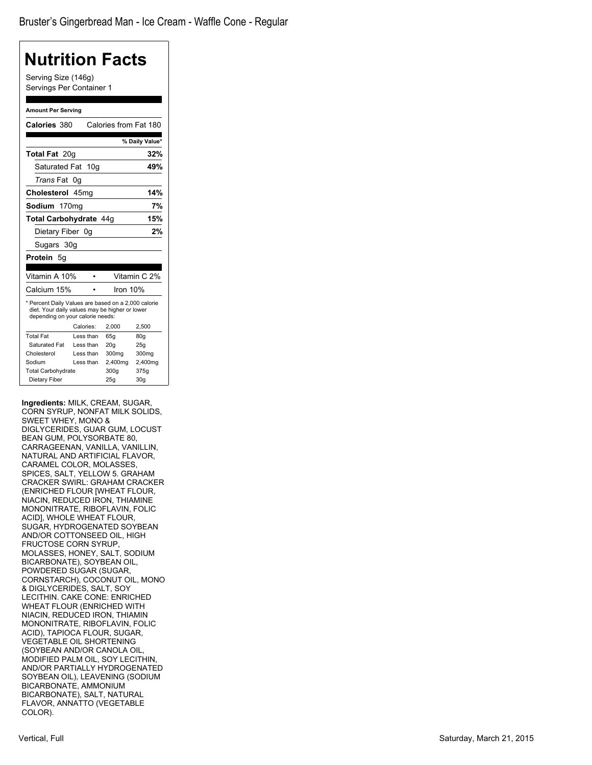| Nutrition Facts                                                                                                                           |                   |                       |                         |
|-------------------------------------------------------------------------------------------------------------------------------------------|-------------------|-----------------------|-------------------------|
| Serving Size (146g)<br>Servings Per Container 1                                                                                           |                   |                       |                         |
| <b>Amount Per Serving</b>                                                                                                                 |                   |                       |                         |
| Calories 380                                                                                                                              |                   | Calories from Fat 180 |                         |
|                                                                                                                                           |                   |                       | % Daily Value*          |
| <b>Total Fat 20g</b>                                                                                                                      |                   |                       | 32%                     |
| Saturated Fat                                                                                                                             | 10 <sub>g</sub>   |                       | 49%                     |
| <i>Trans</i> Fat                                                                                                                          | 0g                |                       |                         |
| Cholesterol 45mg                                                                                                                          |                   |                       | 14%                     |
| Sodium                                                                                                                                    | 170 <sub>mg</sub> |                       | 7%                      |
| Total Carbohydrate 44g                                                                                                                    |                   |                       | 15%                     |
| Dietary Fiber 0g                                                                                                                          |                   |                       | 2%                      |
| Sugars 30g                                                                                                                                |                   |                       |                         |
|                                                                                                                                           |                   |                       |                         |
| Protein 5g                                                                                                                                |                   |                       |                         |
| Vitamin A 10%                                                                                                                             |                   |                       | Vitamin C 2%            |
| Calcium 15%                                                                                                                               |                   | Iron $10%$            |                         |
| * Percent Daily Values are based on a 2,000 calorie<br>diet. Your daily values may be higher or lower<br>depending on your calorie needs: |                   |                       |                         |
|                                                                                                                                           | Calories:         | 2,000                 | 2,500                   |
| <b>Total Fat</b>                                                                                                                          | Less than         | 65g                   | 80g                     |
| Saturated Fat                                                                                                                             | Less than         | 20 <sub>g</sub>       | 25g                     |
| Cholesterol                                                                                                                               | Less than         | 300mg                 | 300mg                   |
| Sodium                                                                                                                                    | Less than         | 2,400mg               | 2,400mg                 |
| <b>Total Carbohydrate</b><br>Dietary Fiber                                                                                                |                   | 300q<br>25g           | 375g<br>30 <sub>g</sub> |
|                                                                                                                                           |                   |                       |                         |